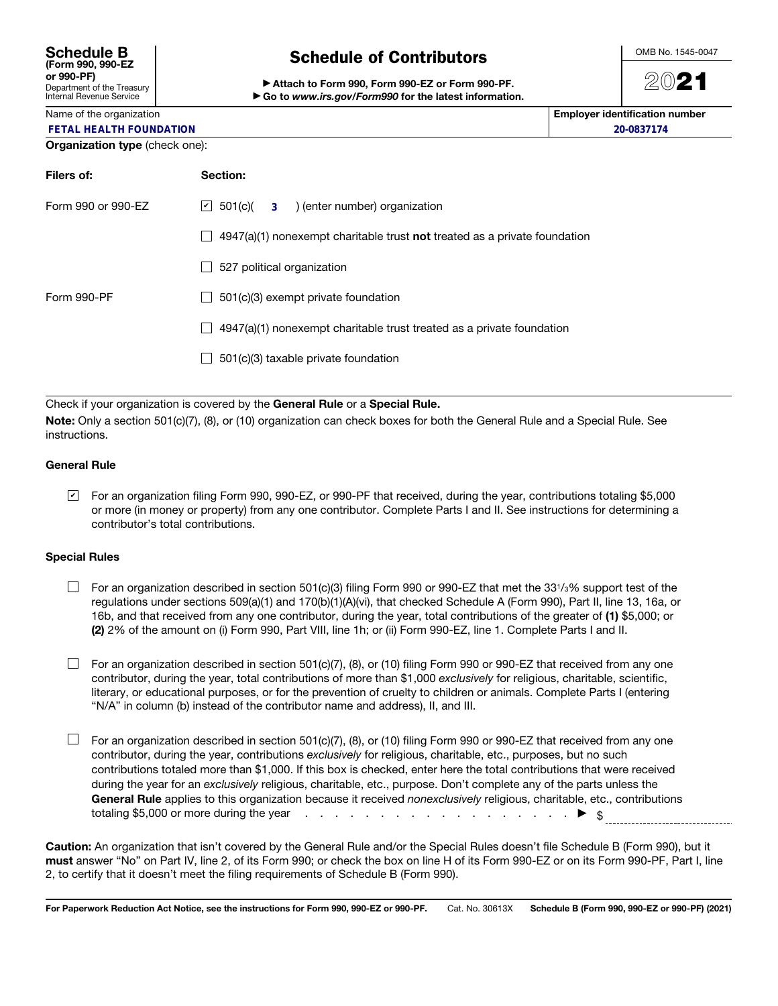| <b>Schedule B</b><br>(Form 990, 990-EZ                        |
|---------------------------------------------------------------|
| or 990-PF)                                                    |
| Department of the Treasury<br><b>Internal Revenue Service</b> |

# Schedule of Contributors

▶ Attach to Form 990, Form 990-EZ or Form 990-PF. ▶ Go to *www.irs.gov/Form990* for the latest information. OMB No. 1545-0047

# 2021

Name of the organization **Employer identification number**  $\blacksquare$ **20-0837174**

## Organization type (check one):

| Filers of:         | Section:                                                                              |  |  |  |  |  |
|--------------------|---------------------------------------------------------------------------------------|--|--|--|--|--|
| Form 990 or 990-EZ | $\boxed{\phantom{0}}$ 501(c)( 3 ) (enter number) organization                         |  |  |  |  |  |
|                    | $4947(a)(1)$ nonexempt charitable trust <b>not</b> treated as a private foundation    |  |  |  |  |  |
|                    | 527 political organization                                                            |  |  |  |  |  |
| Form 990-PF        | $\Box$ 501(c)(3) exempt private foundation                                            |  |  |  |  |  |
|                    | 4947(a)(1) nonexempt charitable trust treated as a private foundation<br>$\mathsf{L}$ |  |  |  |  |  |
|                    | 501(c)(3) taxable private foundation                                                  |  |  |  |  |  |
|                    |                                                                                       |  |  |  |  |  |

Check if your organization is covered by the General Rule or a Special Rule.

Note: Only a section 501(c)(7), (8), or (10) organization can check boxes for both the General Rule and a Special Rule. See instructions.

### General Rule

For an organization filing Form 990, 990-EZ, or 990-PF that received, during the year, contributions totaling \$5,000 ✔or more (in money or property) from any one contributor. Complete Parts I and II. See instructions for determining a contributor's total contributions.

### Special Rules

- $\Box$  For an organization described in section 501(c)(3) filing Form 990 or 990-EZ that met the 331/3% support test of the regulations under sections 509(a)(1) and 170(b)(1)(A)(vi), that checked Schedule A (Form 990), Part II, line 13, 16a, or 16b, and that received from any one contributor, during the year, total contributions of the greater of (1) \$5,000; or (2) 2% of the amount on (i) Form 990, Part VIII, line 1h; or (ii) Form 990-EZ, line 1. Complete Parts I and II.
- $\Box$  For an organization described in section 501(c)(7), (8), or (10) filing Form 990 or 990-EZ that received from any one contributor, during the year, total contributions of more than \$1,000 *exclusively* for religious, charitable, scientific, literary, or educational purposes, or for the prevention of cruelty to children or animals. Complete Parts I (entering "N/A" in column (b) instead of the contributor name and address), II, and III.
- $\Box$  For an organization described in section 501(c)(7), (8), or (10) filing Form 990 or 990-EZ that received from any one contributor, during the year, contributions *exclusively* for religious, charitable, etc., purposes, but no such contributions totaled more than \$1,000. If this box is checked, enter here the total contributions that were received during the year for an *exclusively* religious, charitable, etc., purpose. Don't complete any of the parts unless the General Rule applies to this organization because it received *nonexclusively* religious, charitable, etc., contributions totaling \$5,000 or more during the year  $\cdots$  . . . . . . . . . . . . . . . .  $\blacktriangleright$  \$

Caution: An organization that isn't covered by the General Rule and/or the Special Rules doesn't file Schedule B (Form 990), but it must answer "No" on Part IV, line 2, of its Form 990; or check the box on line H of its Form 990-EZ or on its Form 990-PF, Part I, line 2, to certify that it doesn't meet the filing requirements of Schedule B (Form 990).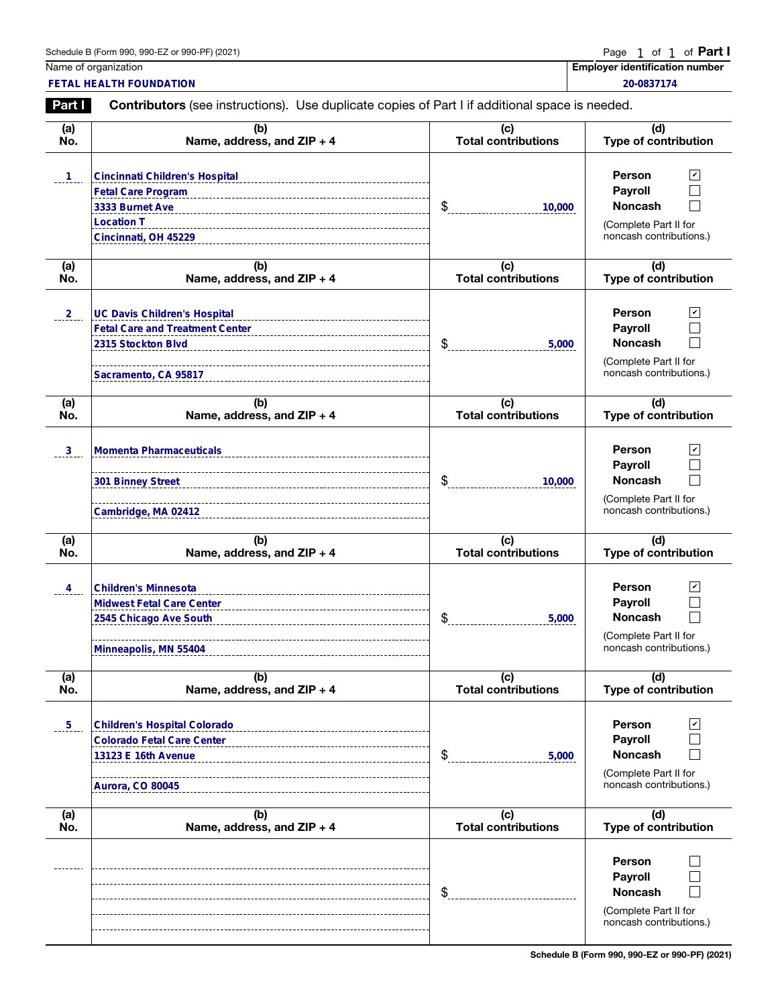| LDE.<br>$990 - E$<br>. (2021)<br>Schedule<br>∠aar i<br>990.<br>ರ (Form<br>υı<br><i>ສສບ</i> | Page | Οt | nt |  |
|--------------------------------------------------------------------------------------------|------|----|----|--|
|                                                                                            |      |    |    |  |

|                | Schedule B (Form 990, 990-EZ or 990-PF) (2021)                                                                              |                                   | Page<br>1 of 1 of <b>Part I</b>                                                                                               |
|----------------|-----------------------------------------------------------------------------------------------------------------------------|-----------------------------------|-------------------------------------------------------------------------------------------------------------------------------|
|                | Name of organization<br><b>FETAL HEALTH FOUNDATION</b>                                                                      |                                   | <b>Employer identification number</b><br>20-0837174                                                                           |
| Part I         | <b>Contributors</b> (see instructions). Use duplicate copies of Part I if additional space is needed.                       |                                   |                                                                                                                               |
| (a)<br>No.     | (b)<br>Name, address, and ZIP + 4                                                                                           | (c)<br><b>Total contributions</b> | (d)<br><b>Type of contribution</b>                                                                                            |
| $\overline{1}$ | Cincinnati Children's Hospital<br><b>Fetal Care Program</b><br>3333 Burnet Ave<br><b>Location T</b><br>Cincinnati, OH 45229 | \$<br>10,000                      | Person<br>⊻<br>Payroll<br><b>Noncash</b><br>(Complete Part II for<br>noncash contributions.)                                  |
| (a)<br>No.     | (b)<br>Name, address, and ZIP + 4                                                                                           | (c)<br><b>Total contributions</b> | (d)<br><b>Type of contribution</b>                                                                                            |
| $^{2}$         | <b>UC Davis Children's Hospital</b><br><b>Fetal Care and Treatment Center</b><br>2315 Stockton Blvd<br>Sacramento, CA 95817 | \$<br>5,000                       | Person<br>$\vert\bm{\mathsf{v}}\vert$<br>Payroll<br><b>Noncash</b><br>(Complete Part II for<br>noncash contributions.)        |
| (a)<br>No.     | (b)<br>Name, address, and ZIP + 4                                                                                           | (c)<br><b>Total contributions</b> | (d)<br><b>Type of contribution</b>                                                                                            |
| 3 <sup>2</sup> | <b>Momenta Pharmaceuticals</b><br>301 Binney Street<br>Cambridge, MA 02412                                                  | \$<br>10,000                      | $\vert\bm{\mathsf{v}}\vert$<br>Person<br>Payroll<br><b>Noncash</b><br>(Complete Part II for<br>noncash contributions.)        |
| (a)<br>No.     | (b)<br>Name, address, and ZIP + 4                                                                                           | (c)<br><b>Total contributions</b> | (d)<br>Type of contribution                                                                                                   |
| $\frac{4}{1}$  | <b>Children's Minnesota</b><br><b>Midwest Fetal Care Center</b><br>2545 Chicago Ave South<br>Minneapolis, MN 55404          | ¢<br>5,000                        | <b>Person</b><br>$\vert\bm{\mathsf{v}}\vert$<br>Payroll<br><b>Noncash</b><br>(Complete Part II for<br>noncash contributions.) |
| (a)<br>No.     | (b)<br>Name, address, and ZIP + 4                                                                                           | (c)<br><b>Total contributions</b> | (d)<br><b>Type of contribution</b>                                                                                            |
| 5 <sub>5</sub> | <b>Children's Hospital Colorado</b><br><b>Colorado Fetal Care Center</b><br>13123 E 16th Avenue<br><b>Aurora, CO 80045</b>  | \$<br>5,000                       | <b>Person</b><br>$\vert\bm{\mathsf{v}}\vert$<br>Payroll<br><b>Noncash</b><br>(Complete Part II for<br>noncash contributions.) |
| (a)<br>No.     | (b)<br>Name, address, and ZIP + 4                                                                                           | (c)<br><b>Total contributions</b> | (d)<br>Type of contribution                                                                                                   |
|                |                                                                                                                             | \$                                | Person<br>Payroll<br><b>Noncash</b><br>(Complete Part II for<br>noncash contributions.)                                       |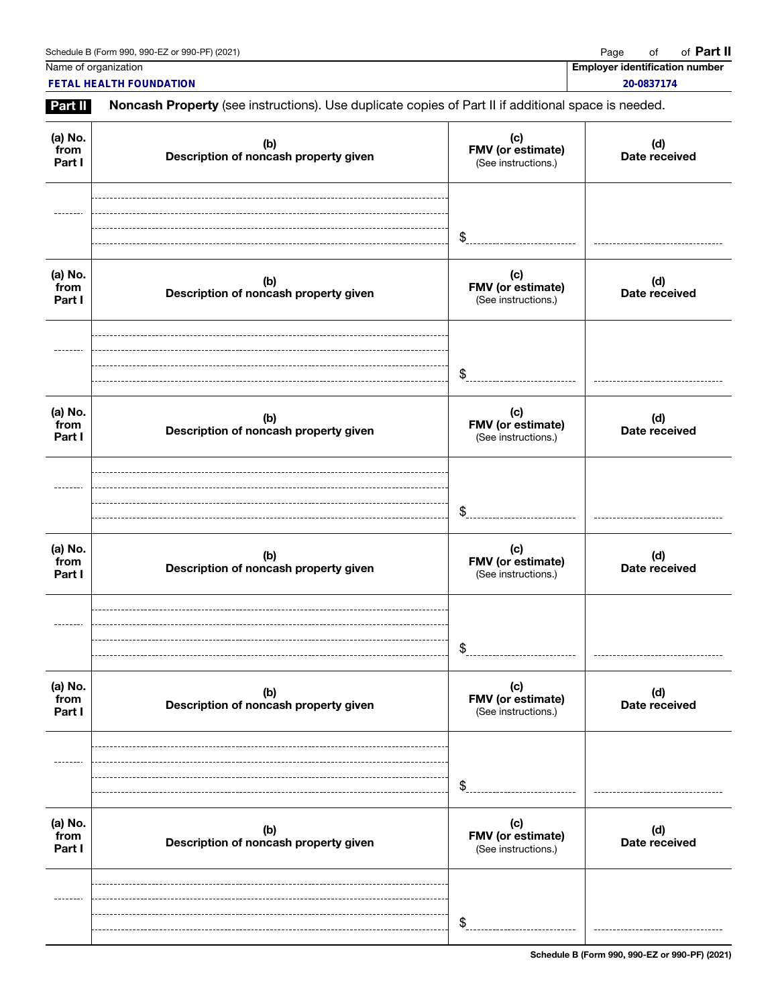Name of organization **Employer identification number** Name of organization **number** 

**FETAL HEALTH FOUNDATION 20-0837174**

Part II Noncash Property (see instructions). Use duplicate copies of Part II if additional space is needed.

| (a) No.<br>from<br>Part I | (b)<br>Description of noncash property given | (c)<br>FMV (or estimate)<br>(See instructions.) | (d)<br>Date received |
|---------------------------|----------------------------------------------|-------------------------------------------------|----------------------|
|                           |                                              | $\frac{1}{2}$                                   |                      |
| (a) No.<br>from<br>Part I | (b)<br>Description of noncash property given | (c)<br>FMV (or estimate)<br>(See instructions.) | (d)<br>Date received |
|                           |                                              | \$                                              |                      |
| (a) No.<br>from<br>Part I | (b)<br>Description of noncash property given | (c)<br>FMV (or estimate)<br>(See instructions.) | (d)<br>Date received |
|                           |                                              | $\mathcal{L}_{\mathcal{L}}$                     |                      |
| (a) No.<br>from<br>Part I | (b)<br>Description of noncash property given | (c)<br>FMV (or estimate)<br>(See instructions.) | (d)<br>Date received |
|                           |                                              | $\frac{1}{2}$                                   |                      |
| (a) No.<br>from<br>Part I | (b)<br>Description of noncash property given | (c)<br>FMV (or estimate)<br>(See instructions.) | (d)<br>Date received |
|                           |                                              | \$                                              |                      |
| (a) No.<br>from<br>Part I | (b)<br>Description of noncash property given | (c)<br>FMV (or estimate)<br>(See instructions.) | (d)<br>Date received |
|                           |                                              | \$                                              |                      |